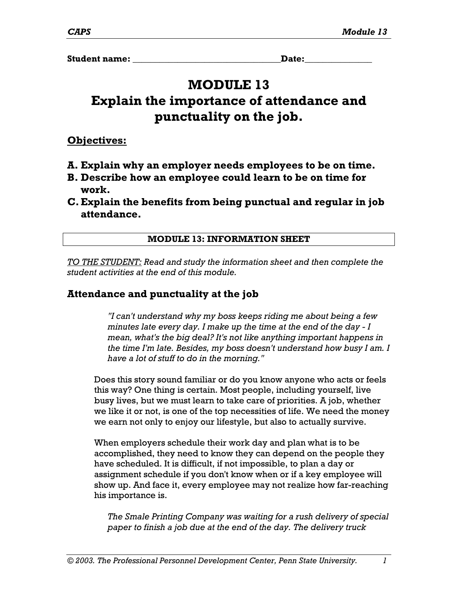**Student name:**  $\qquad \qquad$  **Date:** 

# **MODULE 13**

# **Explain the importance of attendance and punctuality on the job.**

**Objectives:**

- **A. Explain why an employer needs employees to be on time.**
- **B. Describe how an employee could learn to be on time for work.**
- **C. Explain the benefits from being punctual and regular in job attendance.**

# **MODULE 13: INFORMATION SHEET**

*TO THE STUDENT: Read and study the information sheet and then complete the student activities at the end of this module.* 

# **Attendance and punctuality at the job**

*"I can't understand why my boss keeps riding me about being a few minutes late every day. I make up the time at the end of the day - I mean, what's the big deal? It's not like anything important happens in the time I'm late. Besides, my boss doesn't understand how busy I am. I have a lot of stuff to do in the morning."*

Does this story sound familiar or do you know anyone who acts or feels this way? One thing is certain. Most people, including yourself, live busy lives, but we must learn to take care of priorities. A job, whether we like it or not, is one of the top necessities of life. We need the money we earn not only to enjoy our lifestyle, but also to actually survive.

When employers schedule their work day and plan what is to be accomplished, they need to know they can depend on the people they have scheduled. It is difficult, if not impossible, to plan a day or assignment schedule if you don't know when or if a key employee will show up. And face it, every employee may not realize how far-reaching his importance is.

*The Smale Printing Company was waiting for a rush delivery of special paper to finish a job due at the end of the day. The delivery truck*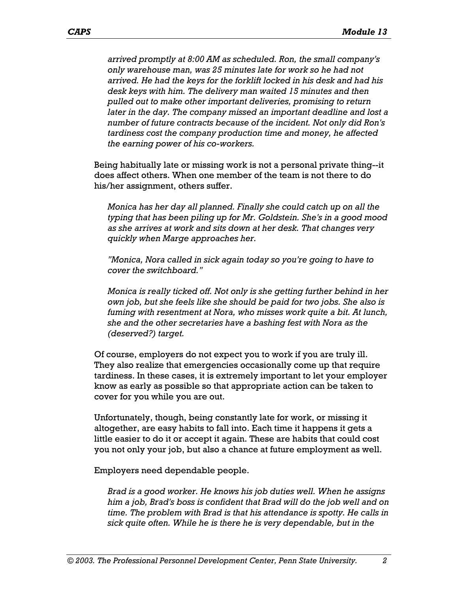*arrived promptly at 8:00 AM as scheduled. Ron, the small company's only warehouse man, was 25 minutes late for work so he had not arrived. He had the keys for the forklift locked in his desk and had his desk keys with him. The delivery man waited 15 minutes and then pulled out to make other important deliveries, promising to return later in the day. The company missed an important deadline and lost a number of future contracts because of the incident. Not only did Ron's tardiness cost the company production time and money, he affected the earning power of his co-workers.* 

Being habitually late or missing work is not a personal private thing--it does affect others. When one member of the team is not there to do his/her assignment, others suffer.

*Monica has her day all planned. Finally she could catch up on all the typing that has been piling up for Mr. Goldstein. She's in a good mood as she arrives at work and sits down at her desk. That changes very quickly when Marge approaches her.* 

*"Monica, Nora called in sick again today so you're going to have to cover the switchboard."*

*Monica is really ticked off. Not only is she getting further behind in her own job, but she feels like she should be paid for two jobs. She also is fuming with resentment at Nora, who misses work quite a bit. At lunch, she and the other secretaries have a bashing fest with Nora as the (deserved?) target.* 

Of course, employers do not expect you to work if you are truly ill. They also realize that emergencies occasionally come up that require tardiness. In these cases, it is extremely important to let your employer know as early as possible so that appropriate action can be taken to cover for you while you are out.

Unfortunately, though, being constantly late for work, or missing it altogether, are easy habits to fall into. Each time it happens it gets a little easier to do it or accept it again. These are habits that could cost you not only your job, but also a chance at future employment as well.

Employers need dependable people.

*Brad is a good worker. He knows his job duties well. When he assigns him a job, Brad's boss is confident that Brad will do the job well and on time. The problem with Brad is that his attendance is spotty. He calls in sick quite often. While he is there he is very dependable, but in the*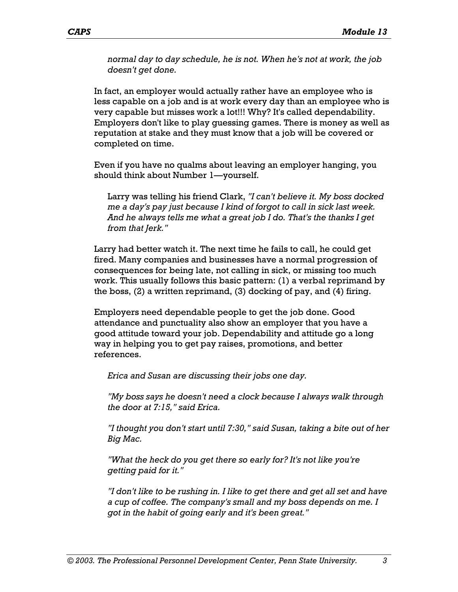*normal day to day schedule, he is not. When he's not at work, the job doesn't get done.* 

In fact, an employer would actually rather have an employee who is less capable on a job and is at work every day than an employee who is very capable but misses work a lot!!! Why? It's called dependability. Employers don't like to play guessing games. There is money as well as reputation at stake and they must know that a job will be covered or completed on time.

Even if you have no qualms about leaving an employer hanging, you should think about Number 1—yourself.

Larry was telling his friend Clark, *"I can't believe it. My boss docked me a day's pay just because I kind of forgot to call in sick last week. And he always tells me what a great job I do. That's the thanks I get from that Jerk."*

Larry had better watch it. The next time he fails to call, he could get fired. Many companies and businesses have a normal progression of consequences for being late, not calling in sick, or missing too much work. This usually follows this basic pattern: (1) a verbal reprimand by the boss, (2) a written reprimand, (3) docking of pay, and (4) firing.

Employers need dependable people to get the job done. Good attendance and punctuality also show an employer that you have a good attitude toward your job. Dependability and attitude go a long way in helping you to get pay raises, promotions, and better references.

*Erica and Susan are discussing their jobs one day.* 

*"My boss says he doesn't need a clock because I always walk through the door at 7:15," said Erica.* 

*"I thought you don't start until 7:30," said Susan, taking a bite out of her Big Mac.* 

*"What the heck do you get there so early for? It's not like you're getting paid for it."* 

*"I don't like to be rushing in. I like to get there and get all set and have a cup of coffee. The company's small and my boss depends on me. I got in the habit of going early and it's been great."*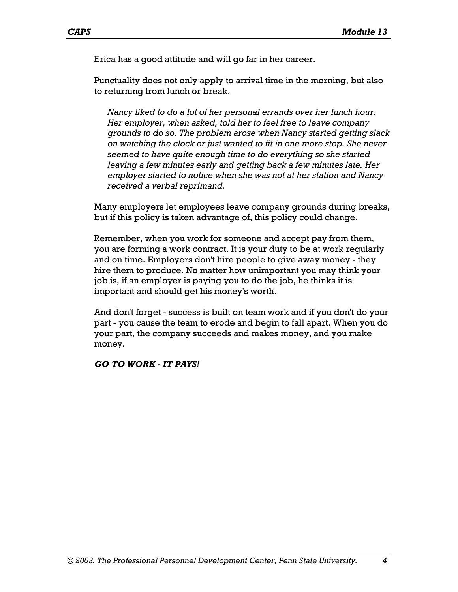Erica has a good attitude and will go far in her career.

Punctuality does not only apply to arrival time in the morning, but also to returning from lunch or break.

*Nancy liked to do a lot of her personal errands over her lunch hour. Her employer, when asked, told her to feel free to leave company grounds to do so. The problem arose when Nancy started getting slack on watching the clock or just wanted to fit in one more stop. She never seemed to have quite enough time to do everything so she started leaving a few minutes early and getting back a few minutes late. Her employer started to notice when she was not at her station and Nancy received a verbal reprimand.* 

Many employers let employees leave company grounds during breaks, but if this policy is taken advantage of, this policy could change.

Remember, when you work for someone and accept pay from them, you are forming a work contract. It is your duty to be at work regularly and on time. Employers don't hire people to give away money - they hire them to produce. No matter how unimportant you may think your job is, if an employer is paying you to do the job, he thinks it is important and should get his money's worth.

And don't forget - success is built on team work and if you don't do your part - you cause the team to erode and begin to fall apart. When you do your part, the company succeeds and makes money, and you make money.

*GO TO WORK - IT PAYS!*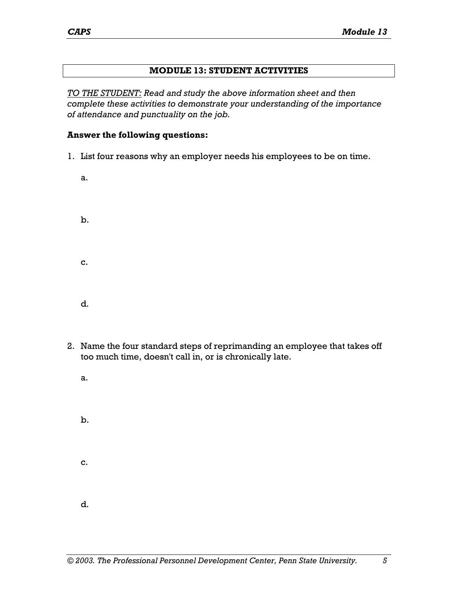#### **MODULE 13: STUDENT ACTIVITIES**

*TO THE STUDENT: Read and study the above information sheet and then complete these activities to demonstrate your understanding of the importance of attendance and punctuality on the job.* 

#### **Answer the following questions:**

- 1. List four reasons why an employer needs his employees to be on time.
	- a. b. c. d.
- 2. Name the four standard steps of reprimanding an employee that takes off too much time, doesn't call in, or is chronically late.
	- a.
	- b. c. d.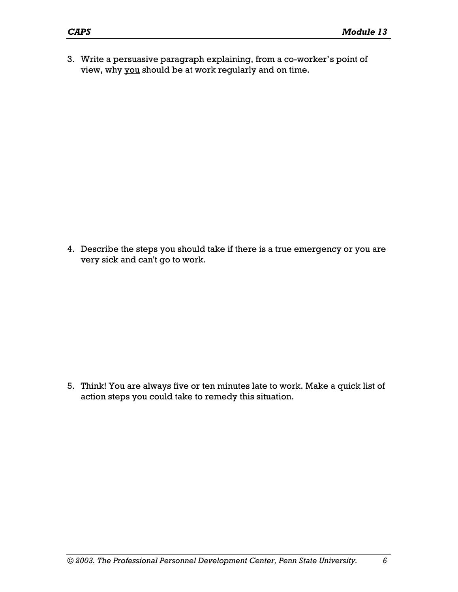3. Write a persuasive paragraph explaining, from a co-worker's point of view, why you should be at work regularly and on time.

4. Describe the steps you should take if there is a true emergency or you are very sick and can't go to work.

5. Think! You are always five or ten minutes late to work. Make a quick list of action steps you could take to remedy this situation.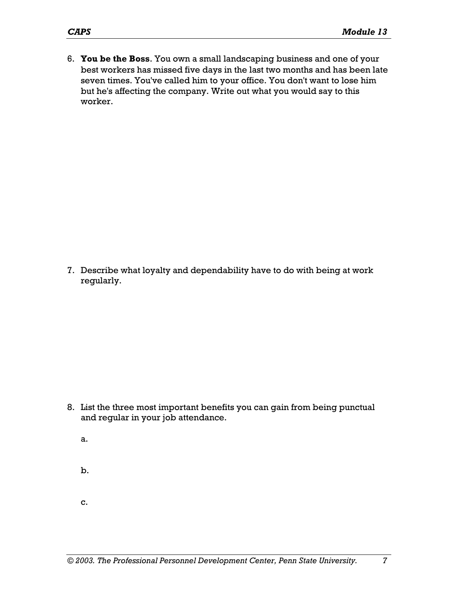6. **You be the Boss**. You own a small landscaping business and one of your best workers has missed five days in the last two months and has been late seven times. You've called him to your office. You don't want to lose him but he's affecting the company. Write out what you would say to this worker.

7. Describe what loyalty and dependability have to do with being at work regularly.

- 8. List the three most important benefits you can gain from being punctual and regular in your job attendance.
	- a.
	- b.
	- c.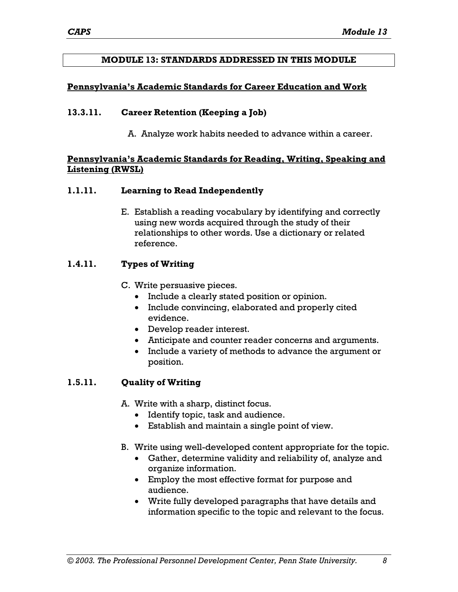#### **MODULE 13: STANDARDS ADDRESSED IN THIS MODULE**

#### **Pennsylvania's Academic Standards for Career Education and Work**

#### **13.3.11. Career Retention (Keeping a Job)**

A. Analyze work habits needed to advance within a career.

#### **Pennsylvania's Academic Standards for Reading, Writing, Speaking and Listening (RWSL)**

#### **1.1.11. Learning to Read Independently**

E. Establish a reading vocabulary by identifying and correctly using new words acquired through the study of their relationships to other words. Use a dictionary or related reference.

## **1.4.11. Types of Writing**

- C. Write persuasive pieces.
	- Include a clearly stated position or opinion.
	- Include convincing, elaborated and properly cited evidence.
	- Develop reader interest.
	- Anticipate and counter reader concerns and arguments.
	- Include a variety of methods to advance the argument or position.

## **1.5.11. Quality of Writing**

A. Write with a sharp, distinct focus.

- Identify topic, task and audience.
- Establish and maintain a single point of view.
- B. Write using well-developed content appropriate for the topic.
	- Gather, determine validity and reliability of, analyze and organize information.
	- Employ the most effective format for purpose and audience.
	- Write fully developed paragraphs that have details and information specific to the topic and relevant to the focus.